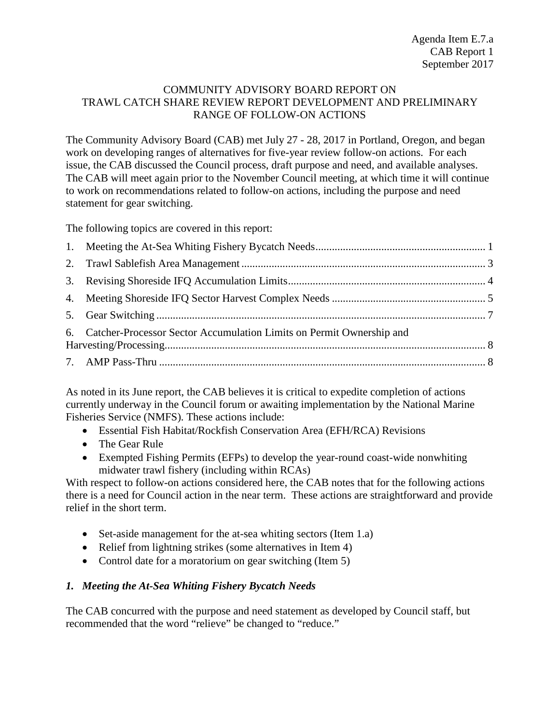#### COMMUNITY ADVISORY BOARD REPORT ON TRAWL CATCH SHARE REVIEW REPORT DEVELOPMENT AND PRELIMINARY RANGE OF FOLLOW-ON ACTIONS

The Community Advisory Board (CAB) met July 27 - 28, 2017 in Portland, Oregon, and began work on developing ranges of alternatives for five-year review follow-on actions. For each issue, the CAB discussed the Council process, draft purpose and need, and available analyses. The CAB will meet again prior to the November Council meeting, at which time it will continue to work on recommendations related to follow-on actions, including the purpose and need statement for gear switching.

The following topics are covered in this report:

| 6. Catcher-Processor Sector Accumulation Limits on Permit Ownership and |  |
|-------------------------------------------------------------------------|--|
|                                                                         |  |

As noted in its June report, the CAB believes it is critical to expedite completion of actions currently underway in the Council forum or awaiting implementation by the National Marine Fisheries Service (NMFS). These actions include:

- Essential Fish Habitat/Rockfish Conservation Area (EFH/RCA) Revisions
- The Gear Rule
- Exempted Fishing Permits (EFPs) to develop the year-round coast-wide nonwhiting midwater trawl fishery (including within RCAs)

With respect to follow-on actions considered here, the CAB notes that for the following actions there is a need for Council action in the near term. These actions are straightforward and provide relief in the short term.

- Set-aside management for the at-sea whiting sectors (Item 1.a)
- Relief from lightning strikes (some alternatives in Item 4)
- Control date for a moratorium on gear switching (Item 5)

# <span id="page-0-0"></span>*1. Meeting the At-Sea Whiting Fishery Bycatch Needs*

The CAB concurred with the purpose and need statement as developed by Council staff, but recommended that the word "relieve" be changed to "reduce."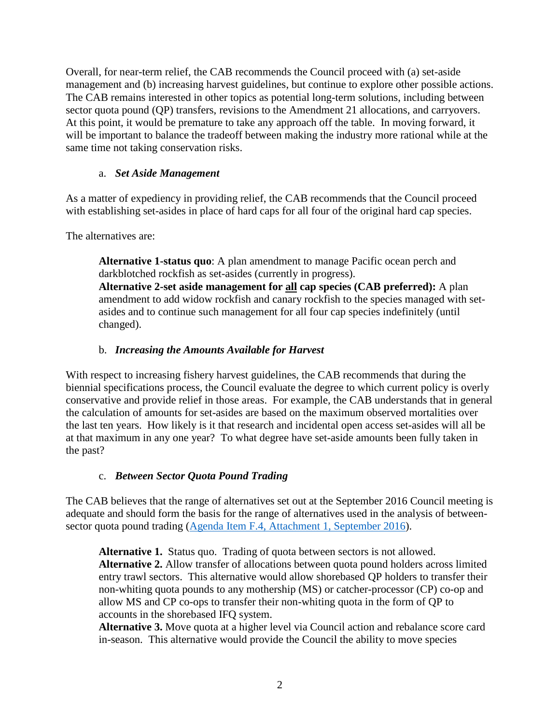Overall, for near-term relief, the CAB recommends the Council proceed with (a) set-aside management and (b) increasing harvest guidelines, but continue to explore other possible actions. The CAB remains interested in other topics as potential long-term solutions, including between sector quota pound (QP) transfers, revisions to the Amendment 21 allocations, and carryovers. At this point, it would be premature to take any approach off the table. In moving forward, it will be important to balance the tradeoff between making the industry more rational while at the same time not taking conservation risks.

## a. *Set Aside Management*

As a matter of expediency in providing relief, the CAB recommends that the Council proceed with establishing set-asides in place of hard caps for all four of the original hard cap species.

The alternatives are:

**Alternative 1-status quo**: A plan amendment to manage Pacific ocean perch and darkblotched rockfish as set-asides (currently in progress). **Alternative 2-set aside management for all cap species (CAB preferred):** A plan amendment to add widow rockfish and canary rockfish to the species managed with setasides and to continue such management for all four cap species indefinitely (until changed).

# b. *Increasing the Amounts Available for Harvest*

With respect to increasing fishery harvest guidelines, the CAB recommends that during the biennial specifications process, the Council evaluate the degree to which current policy is overly conservative and provide relief in those areas. For example, the CAB understands that in general the calculation of amounts for set-asides are based on the maximum observed mortalities over the last ten years. How likely is it that research and incidental open access set-asides will all be at that maximum in any one year? To what degree have set-aside amounts been fully taken in the past?

# c. *Between Sector Quota Pound Trading*

The CAB believes that the range of alternatives set out at the September 2016 Council meeting is adequate and should form the basis for the range of alternatives used in the analysis of betweensector quota pound trading [\(Agenda Item F.4, Attachment 1, September 2016\)](http://www.pcouncil.org/wp-content/uploads/2016/08/F4_Att1_QP_Trading_SEPT2016BB.pdf).

**Alternative 1.** Status quo. Trading of quota between sectors is not allowed. **Alternative 2.** Allow transfer of allocations between quota pound holders across limited entry trawl sectors. This alternative would allow shorebased QP holders to transfer their non-whiting quota pounds to any mothership (MS) or catcher-processor (CP) co-op and allow MS and CP co-ops to transfer their non-whiting quota in the form of QP to accounts in the shorebased IFQ system.

**Alternative 3.** Move quota at a higher level via Council action and rebalance score card in-season. This alternative would provide the Council the ability to move species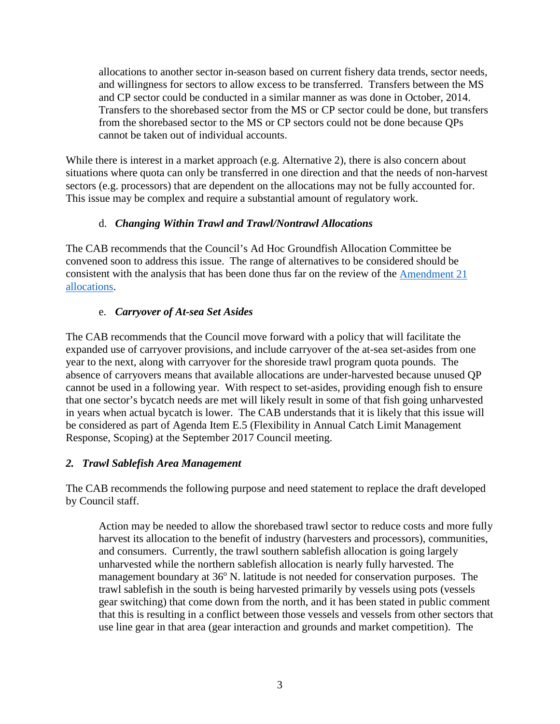allocations to another sector in-season based on current fishery data trends, sector needs, and willingness for sectors to allow excess to be transferred. Transfers between the MS and CP sector could be conducted in a similar manner as was done in October, 2014. Transfers to the shorebased sector from the MS or CP sector could be done, but transfers from the shorebased sector to the MS or CP sectors could not be done because QPs cannot be taken out of individual accounts.

While there is interest in a market approach (e.g. Alternative 2), there is also concern about situations where quota can only be transferred in one direction and that the needs of non-harvest sectors (e.g. processors) that are dependent on the allocations may not be fully accounted for. This issue may be complex and require a substantial amount of regulatory work.

## d. *Changing Within Trawl and Trawl/Nontrawl Allocations*

The CAB recommends that the Council's Ad Hoc Groundfish Allocation Committee be convened soon to address this issue. The range of alternatives to be considered should be consistent with the analysis that has been done thus far on the review of the [Amendment 21](http://www.pcouncil.org/wp-content/uploads/2017/05/F2_Att2_Am21Eval_JUN2017BB.pdf)  [allocations.](http://www.pcouncil.org/wp-content/uploads/2017/05/F2_Att2_Am21Eval_JUN2017BB.pdf)

## e. *Carryover of At-sea Set Asides*

The CAB recommends that the Council move forward with a policy that will facilitate the expanded use of carryover provisions, and include carryover of the at-sea set-asides from one year to the next, along with carryover for the shoreside trawl program quota pounds. The absence of carryovers means that available allocations are under-harvested because unused QP cannot be used in a following year. With respect to set-asides, providing enough fish to ensure that one sector's bycatch needs are met will likely result in some of that fish going unharvested in years when actual bycatch is lower. The CAB understands that it is likely that this issue will be considered as part of Agenda Item E.5 (Flexibility in Annual Catch Limit Management Response, Scoping) at the September 2017 Council meeting.

## <span id="page-2-0"></span>*2. Trawl Sablefish Area Management*

The CAB recommends the following purpose and need statement to replace the draft developed by Council staff.

Action may be needed to allow the shorebased trawl sector to reduce costs and more fully harvest its allocation to the benefit of industry (harvesters and processors), communities, and consumers. Currently, the trawl southern sablefish allocation is going largely unharvested while the northern sablefish allocation is nearly fully harvested. The management boundary at  $36^{\circ}$  N. latitude is not needed for conservation purposes. The trawl sablefish in the south is being harvested primarily by vessels using pots (vessels gear switching) that come down from the north, and it has been stated in public comment that this is resulting in a conflict between those vessels and vessels from other sectors that use line gear in that area (gear interaction and grounds and market competition). The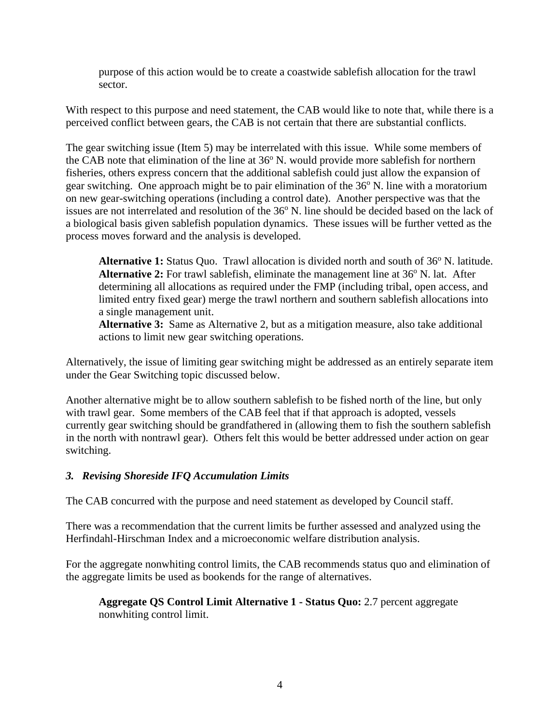purpose of this action would be to create a coastwide sablefish allocation for the trawl sector.

With respect to this purpose and need statement, the CAB would like to note that, while there is a perceived conflict between gears, the CAB is not certain that there are substantial conflicts.

The gear switching issue (Item 5) may be interrelated with this issue. While some members of the CAB note that elimination of the line at  $36^{\circ}$  N. would provide more sablefish for northern fisheries, others express concern that the additional sablefish could just allow the expansion of gear switching. One approach might be to pair elimination of the  $36^{\circ}$  N. line with a moratorium on new gear-switching operations (including a control date). Another perspective was that the issues are not interrelated and resolution of the 36<sup>o</sup> N. line should be decided based on the lack of a biological basis given sablefish population dynamics. These issues will be further vetted as the process moves forward and the analysis is developed.

Alternative 1: Status Quo. Trawl allocation is divided north and south of 36<sup>o</sup> N. latitude. **Alternative 2:** For trawl sablefish, eliminate the management line at  $36^\circ$  N. lat. After determining all allocations as required under the FMP (including tribal, open access, and limited entry fixed gear) merge the trawl northern and southern sablefish allocations into a single management unit.

**Alternative 3:** Same as Alternative 2, but as a mitigation measure, also take additional actions to limit new gear switching operations.

Alternatively, the issue of limiting gear switching might be addressed as an entirely separate item under the Gear Switching topic discussed below.

Another alternative might be to allow southern sablefish to be fished north of the line, but only with trawl gear. Some members of the CAB feel that if that approach is adopted, vessels currently gear switching should be grandfathered in (allowing them to fish the southern sablefish in the north with nontrawl gear). Others felt this would be better addressed under action on gear switching.

## <span id="page-3-0"></span>*3. Revising Shoreside IFQ Accumulation Limits*

The CAB concurred with the purpose and need statement as developed by Council staff.

There was a recommendation that the current limits be further assessed and analyzed using the Herfindahl-Hirschman Index and a microeconomic welfare distribution analysis.

For the aggregate nonwhiting control limits, the CAB recommends status quo and elimination of the aggregate limits be used as bookends for the range of alternatives.

#### **Aggregate QS Control Limit Alternative 1 - Status Quo:** 2.7 percent aggregate nonwhiting control limit.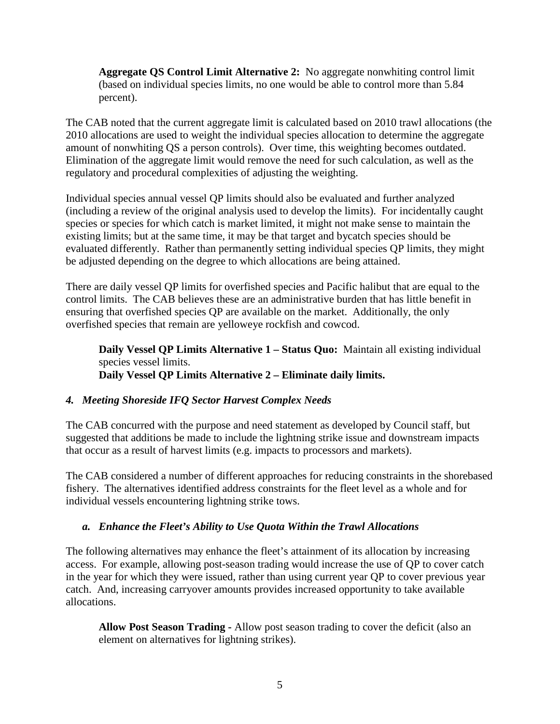**Aggregate QS Control Limit Alternative 2:** No aggregate nonwhiting control limit (based on individual species limits, no one would be able to control more than 5.84 percent).

The CAB noted that the current aggregate limit is calculated based on 2010 trawl allocations (the 2010 allocations are used to weight the individual species allocation to determine the aggregate amount of nonwhiting QS a person controls). Over time, this weighting becomes outdated. Elimination of the aggregate limit would remove the need for such calculation, as well as the regulatory and procedural complexities of adjusting the weighting.

Individual species annual vessel QP limits should also be evaluated and further analyzed (including a review of the original analysis used to develop the limits). For incidentally caught species or species for which catch is market limited, it might not make sense to maintain the existing limits; but at the same time, it may be that target and bycatch species should be evaluated differently. Rather than permanently setting individual species QP limits, they might be adjusted depending on the degree to which allocations are being attained.

There are daily vessel QP limits for overfished species and Pacific halibut that are equal to the control limits. The CAB believes these are an administrative burden that has little benefit in ensuring that overfished species QP are available on the market. Additionally, the only overfished species that remain are yelloweye rockfish and cowcod.

**Daily Vessel QP Limits Alternative 1 – Status Quo:** Maintain all existing individual species vessel limits. **Daily Vessel QP Limits Alternative 2 – Eliminate daily limits.** 

## <span id="page-4-0"></span>*4. Meeting Shoreside IFQ Sector Harvest Complex Needs*

The CAB concurred with the purpose and need statement as developed by Council staff, but suggested that additions be made to include the lightning strike issue and downstream impacts that occur as a result of harvest limits (e.g. impacts to processors and markets).

The CAB considered a number of different approaches for reducing constraints in the shorebased fishery. The alternatives identified address constraints for the fleet level as a whole and for individual vessels encountering lightning strike tows.

## *a. Enhance the Fleet's Ability to Use Quota Within the Trawl Allocations*

The following alternatives may enhance the fleet's attainment of its allocation by increasing access. For example, allowing post-season trading would increase the use of QP to cover catch in the year for which they were issued, rather than using current year QP to cover previous year catch. And, increasing carryover amounts provides increased opportunity to take available allocations.

**Allow Post Season Trading -** Allow post season trading to cover the deficit (also an element on alternatives for lightning strikes).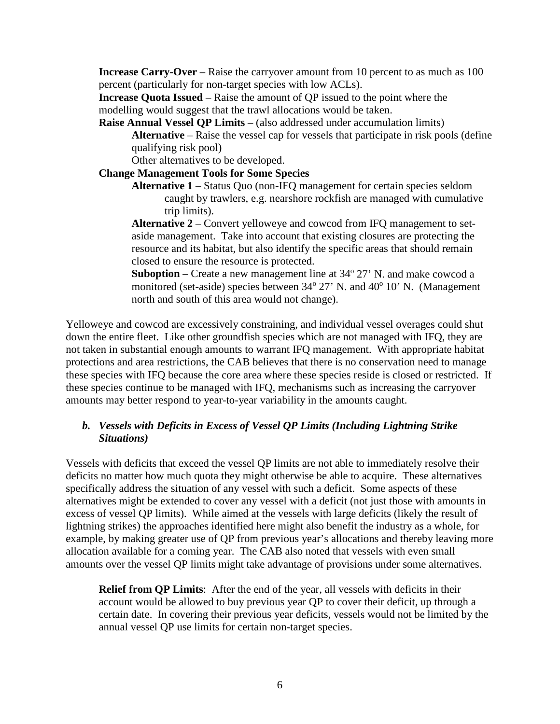**Increase Carry-Over** – Raise the carryover amount from 10 percent to as much as 100 percent (particularly for non-target species with low ACLs).

**Increase Quota Issued** – Raise the amount of QP issued to the point where the modelling would suggest that the trawl allocations would be taken.

**Raise Annual Vessel QP Limits** – (also addressed under accumulation limits) **Alternative** – Raise the vessel cap for vessels that participate in risk pools (define qualifying risk pool)

Other alternatives to be developed.

### **Change Management Tools for Some Species**

**Alternative 1** – Status Quo (non-IFQ management for certain species seldom caught by trawlers, e.g. nearshore rockfish are managed with cumulative trip limits).

**Alternative 2** – Convert yelloweye and cowcod from IFQ management to setaside management. Take into account that existing closures are protecting the resource and its habitat, but also identify the specific areas that should remain closed to ensure the resource is protected.

**Suboption** – Create a new management line at  $34^{\circ}$  27' N. and make cowcod a monitored (set-aside) species between  $34^{\circ}$  27' N. and  $40^{\circ}$  10' N. (Management north and south of this area would not change).

Yelloweye and cowcod are excessively constraining, and individual vessel overages could shut down the entire fleet. Like other groundfish species which are not managed with IFQ, they are not taken in substantial enough amounts to warrant IFQ management. With appropriate habitat protections and area restrictions, the CAB believes that there is no conservation need to manage these species with IFQ because the core area where these species reside is closed or restricted. If these species continue to be managed with IFQ, mechanisms such as increasing the carryover amounts may better respond to year-to-year variability in the amounts caught.

## *b. Vessels with Deficits in Excess of Vessel QP Limits (Including Lightning Strike Situations)*

Vessels with deficits that exceed the vessel QP limits are not able to immediately resolve their deficits no matter how much quota they might otherwise be able to acquire. These alternatives specifically address the situation of any vessel with such a deficit. Some aspects of these alternatives might be extended to cover any vessel with a deficit (not just those with amounts in excess of vessel QP limits). While aimed at the vessels with large deficits (likely the result of lightning strikes) the approaches identified here might also benefit the industry as a whole, for example, by making greater use of QP from previous year's allocations and thereby leaving more allocation available for a coming year. The CAB also noted that vessels with even small amounts over the vessel QP limits might take advantage of provisions under some alternatives.

**Relief from QP Limits**: After the end of the year, all vessels with deficits in their account would be allowed to buy previous year QP to cover their deficit, up through a certain date. In covering their previous year deficits, vessels would not be limited by the annual vessel QP use limits for certain non-target species.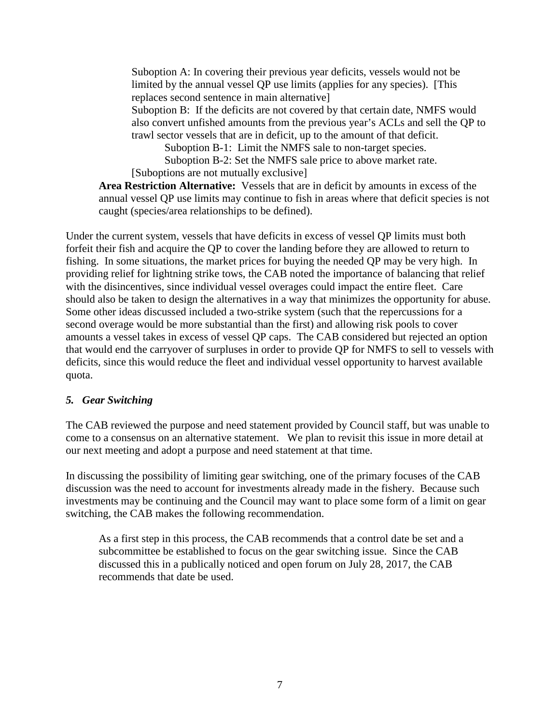Suboption A: In covering their previous year deficits, vessels would not be limited by the annual vessel QP use limits (applies for any species). [This replaces second sentence in main alternative] Suboption B: If the deficits are not covered by that certain date, NMFS would also convert unfished amounts from the previous year's ACLs and sell the QP to

trawl sector vessels that are in deficit, up to the amount of that deficit. Suboption B-1: Limit the NMFS sale to non-target species.

Suboption B-2: Set the NMFS sale price to above market rate.

[Suboptions are not mutually exclusive]

**Area Restriction Alternative:** Vessels that are in deficit by amounts in excess of the annual vessel QP use limits may continue to fish in areas where that deficit species is not caught (species/area relationships to be defined).

Under the current system, vessels that have deficits in excess of vessel QP limits must both forfeit their fish and acquire the QP to cover the landing before they are allowed to return to fishing. In some situations, the market prices for buying the needed QP may be very high. In providing relief for lightning strike tows, the CAB noted the importance of balancing that relief with the disincentives, since individual vessel overages could impact the entire fleet. Care should also be taken to design the alternatives in a way that minimizes the opportunity for abuse. Some other ideas discussed included a two-strike system (such that the repercussions for a second overage would be more substantial than the first) and allowing risk pools to cover amounts a vessel takes in excess of vessel QP caps. The CAB considered but rejected an option that would end the carryover of surpluses in order to provide QP for NMFS to sell to vessels with deficits, since this would reduce the fleet and individual vessel opportunity to harvest available quota.

## <span id="page-6-0"></span>*5. Gear Switching*

The CAB reviewed the purpose and need statement provided by Council staff, but was unable to come to a consensus on an alternative statement. We plan to revisit this issue in more detail at our next meeting and adopt a purpose and need statement at that time.

In discussing the possibility of limiting gear switching, one of the primary focuses of the CAB discussion was the need to account for investments already made in the fishery. Because such investments may be continuing and the Council may want to place some form of a limit on gear switching, the CAB makes the following recommendation.

As a first step in this process, the CAB recommends that a control date be set and a subcommittee be established to focus on the gear switching issue. Since the CAB discussed this in a publically noticed and open forum on July 28, 2017, the CAB recommends that date be used.